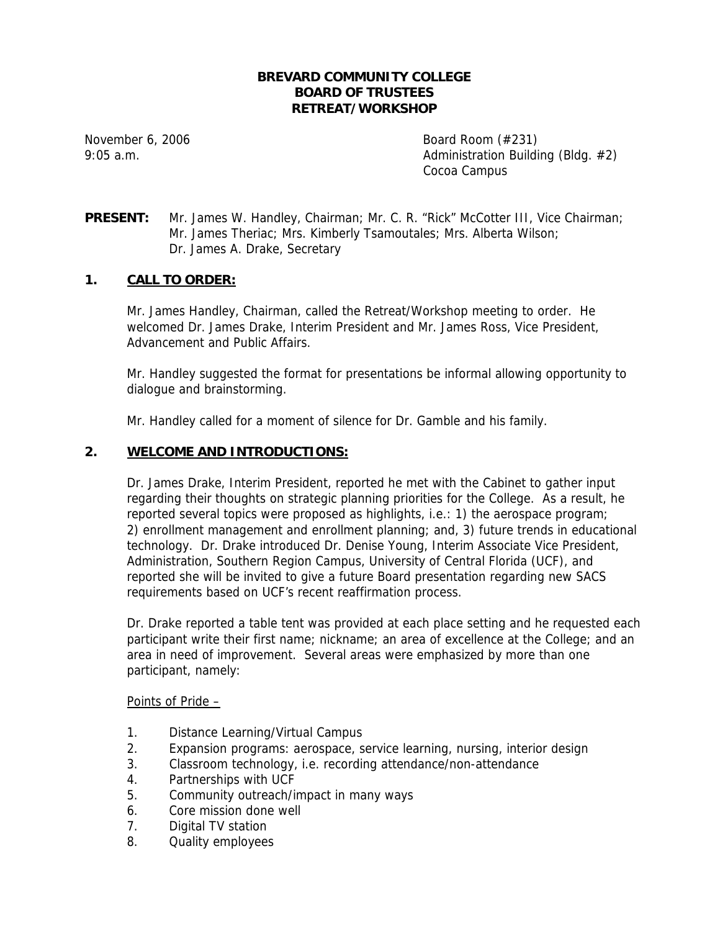## **BREVARD COMMUNITY COLLEGE BOARD OF TRUSTEES RETREAT/WORKSHOP**

November 6, 2006 Board Room (#231) 9:05 a.m. **Administration Building (Bldg. #2)** Cocoa Campus

**PRESENT:** Mr. James W. Handley, Chairman; Mr. C. R. "Rick" McCotter III, Vice Chairman; Mr. James Theriac; Mrs. Kimberly Tsamoutales; Mrs. Alberta Wilson; Dr. James A. Drake, Secretary

# **1. CALL TO ORDER:**

Mr. James Handley, Chairman, called the Retreat/Workshop meeting to order. He welcomed Dr. James Drake, Interim President and Mr. James Ross, Vice President, Advancement and Public Affairs.

Mr. Handley suggested the format for presentations be informal allowing opportunity to dialogue and brainstorming.

Mr. Handley called for a moment of silence for Dr. Gamble and his family.

## **2. WELCOME AND INTRODUCTIONS:**

Dr. James Drake, Interim President, reported he met with the Cabinet to gather input regarding their thoughts on strategic planning priorities for the College. As a result, he reported several topics were proposed as highlights, i.e.: 1) the aerospace program; 2) enrollment management and enrollment planning; and, 3) future trends in educational technology. Dr. Drake introduced Dr. Denise Young, Interim Associate Vice President, Administration, Southern Region Campus, University of Central Florida (UCF), and reported she will be invited to give a future Board presentation regarding new SACS requirements based on UCF's recent reaffirmation process.

Dr. Drake reported a table tent was provided at each place setting and he requested each participant write their first name; nickname; an area of excellence at the College; and an area in need of improvement. Several areas were emphasized by more than one participant, namely:

Points of Pride –

- 1. Distance Learning/Virtual Campus
- 2. Expansion programs: aerospace, service learning, nursing, interior design
- 3. Classroom technology, i.e. recording attendance/non-attendance
- 4. Partnerships with UCF
- 5. Community outreach/impact in many ways
- 6. Core mission done well
- 7. Digital TV station
- 8. Quality employees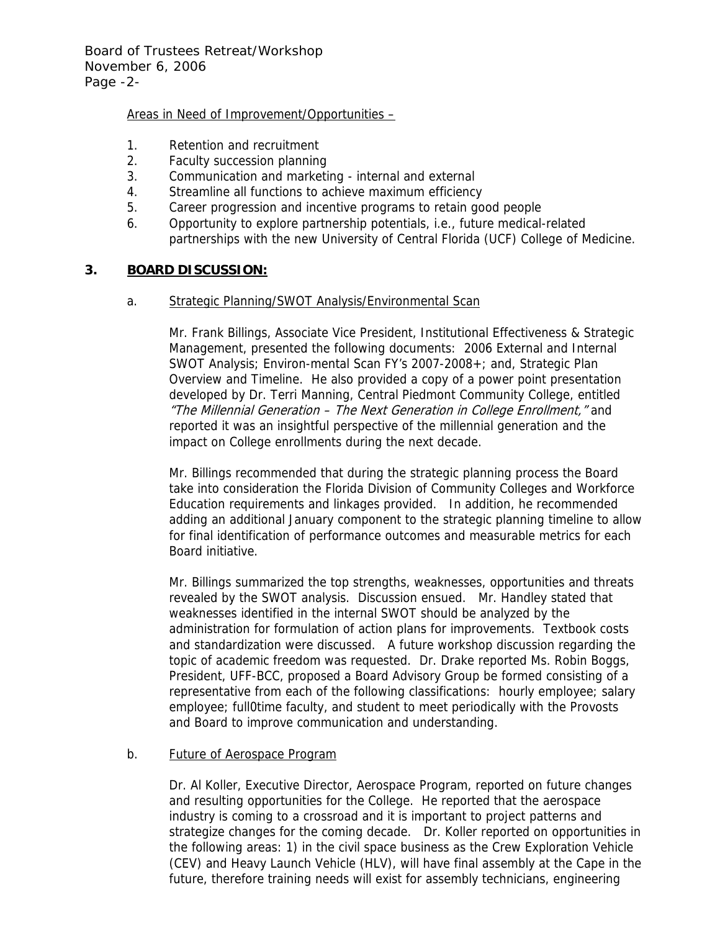Board of Trustees Retreat/Workshop November 6, 2006 Page -2-

## Areas in Need of Improvement/Opportunities –

- 1. Retention and recruitment
- 2. Faculty succession planning
- 3. Communication and marketing internal and external
- 4. Streamline all functions to achieve maximum efficiency
- 5. Career progression and incentive programs to retain good people
- 6. Opportunity to explore partnership potentials, i.e., future medical-related partnerships with the new University of Central Florida (UCF) College of Medicine.

## **3. BOARD DISCUSSION:**

#### a. Strategic Planning/SWOT Analysis/Environmental Scan

Mr. Frank Billings, Associate Vice President, Institutional Effectiveness & Strategic Management, presented the following documents: 2006 External and Internal SWOT Analysis; Environ-mental Scan FY's 2007-2008+; and, Strategic Plan Overview and Timeline. He also provided a copy of a power point presentation developed by Dr. Terri Manning, Central Piedmont Community College, entitled "The Millennial Generation – The Next Generation in College Enrollment," and reported it was an insightful perspective of the millennial generation and the impact on College enrollments during the next decade.

Mr. Billings recommended that during the strategic planning process the Board take into consideration the Florida Division of Community Colleges and Workforce Education requirements and linkages provided. In addition, he recommended adding an additional January component to the strategic planning timeline to allow for final identification of performance outcomes and measurable metrics for each Board initiative.

Mr. Billings summarized the top strengths, weaknesses, opportunities and threats revealed by the SWOT analysis. Discussion ensued. Mr. Handley stated that weaknesses identified in the internal SWOT should be analyzed by the administration for formulation of action plans for improvements. Textbook costs and standardization were discussed. A future workshop discussion regarding the topic of academic freedom was requested. Dr. Drake reported Ms. Robin Boggs, President, UFF-BCC, proposed a Board Advisory Group be formed consisting of a representative from each of the following classifications: hourly employee; salary employee; full0time faculty, and student to meet periodically with the Provosts and Board to improve communication and understanding.

## b. Future of Aerospace Program

Dr. Al Koller, Executive Director, Aerospace Program, reported on future changes and resulting opportunities for the College. He reported that the aerospace industry is coming to a crossroad and it is important to project patterns and strategize changes for the coming decade. Dr. Koller reported on opportunities in the following areas: 1) in the civil space business as the Crew Exploration Vehicle (CEV) and Heavy Launch Vehicle (HLV), will have final assembly at the Cape in the future, therefore training needs will exist for assembly technicians, engineering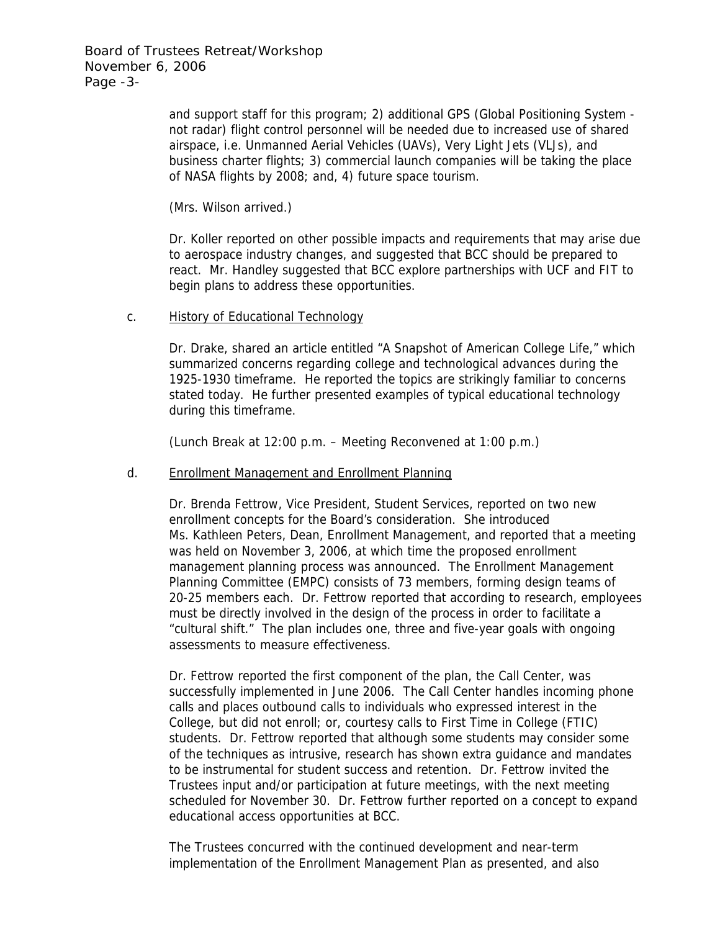Board of Trustees Retreat/Workshop November 6, 2006 Page -3-

> and support staff for this program; 2) additional GPS (Global Positioning System not radar) flight control personnel will be needed due to increased use of shared airspace, i.e. Unmanned Aerial Vehicles (UAVs), Very Light Jets (VLJs), and business charter flights; 3) commercial launch companies will be taking the place of NASA flights by 2008; and, 4) future space tourism.

(Mrs. Wilson arrived.)

Dr. Koller reported on other possible impacts and requirements that may arise due to aerospace industry changes, and suggested that BCC should be prepared to react. Mr. Handley suggested that BCC explore partnerships with UCF and FIT to begin plans to address these opportunities.

## c. History of Educational Technology

Dr. Drake, shared an article entitled "A Snapshot of American College Life," which summarized concerns regarding college and technological advances during the 1925-1930 timeframe. He reported the topics are strikingly familiar to concerns stated today. He further presented examples of typical educational technology during this timeframe.

(Lunch Break at 12:00 p.m. – Meeting Reconvened at 1:00 p.m.)

## d. Enrollment Management and Enrollment Planning

Dr. Brenda Fettrow, Vice President, Student Services, reported on two new enrollment concepts for the Board's consideration. She introduced Ms. Kathleen Peters, Dean, Enrollment Management, and reported that a meeting was held on November 3, 2006, at which time the proposed enrollment management planning process was announced. The Enrollment Management Planning Committee (EMPC) consists of 73 members, forming design teams of 20-25 members each. Dr. Fettrow reported that according to research, employees must be directly involved in the design of the process in order to facilitate a "cultural shift." The plan includes one, three and five-year goals with ongoing assessments to measure effectiveness.

Dr. Fettrow reported the first component of the plan, the Call Center, was successfully implemented in June 2006. The Call Center handles incoming phone calls and places outbound calls to individuals who expressed interest in the College, but did not enroll; or, courtesy calls to First Time in College (FTIC) students. Dr. Fettrow reported that although some students may consider some of the techniques as intrusive, research has shown extra guidance and mandates to be instrumental for student success and retention. Dr. Fettrow invited the Trustees input and/or participation at future meetings, with the next meeting scheduled for November 30. Dr. Fettrow further reported on a concept to expand educational access opportunities at BCC.

The Trustees concurred with the continued development and near-term implementation of the Enrollment Management Plan as presented, and also